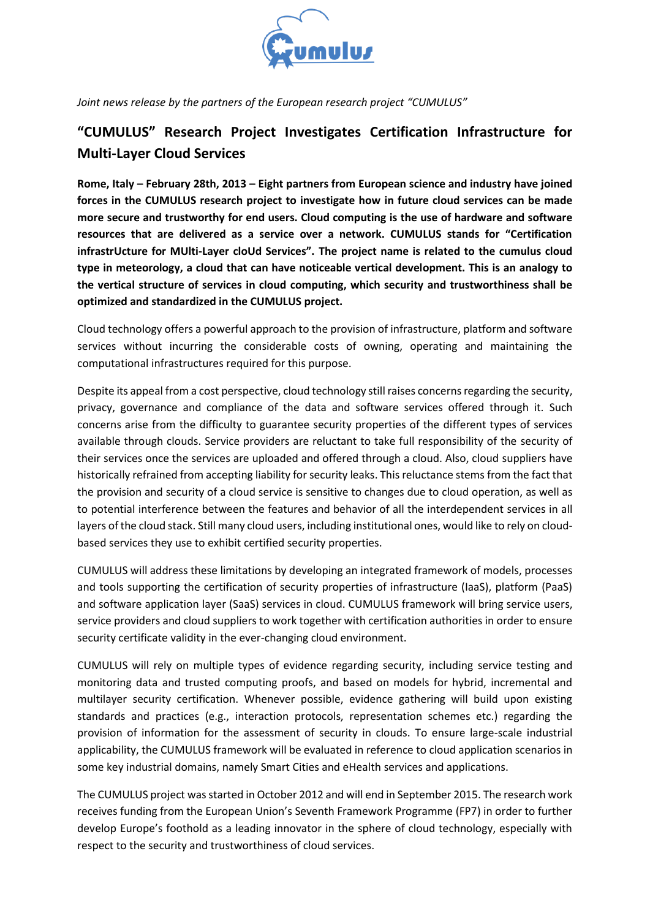

*Joint news release by the partners of the European research project "CUMULUS"*

## **"CUMULUS" Research Project Investigates Certification Infrastructure for Multi-Layer Cloud Services**

**Rome, Italy – February 28th, 2013 – Eight partners from European science and industry have joined forces in the CUMULUS research project to investigate how in future cloud services can be made more secure and trustworthy for end users. Cloud computing is the use of hardware and software resources that are delivered as a service over a network. CUMULUS stands for "Certification infrastrUcture for MUlti-Layer cloUd Services". The project name is related to the cumulus cloud type in meteorology, a cloud that can have noticeable vertical development. This is an analogy to the vertical structure of services in cloud computing, which security and trustworthiness shall be optimized and standardized in the CUMULUS project.**

Cloud technology offers a powerful approach to the provision of infrastructure, platform and software services without incurring the considerable costs of owning, operating and maintaining the computational infrastructures required for this purpose.

Despite its appeal from a cost perspective, cloud technology still raises concerns regarding the security, privacy, governance and compliance of the data and software services offered through it. Such concerns arise from the difficulty to guarantee security properties of the different types of services available through clouds. Service providers are reluctant to take full responsibility of the security of their services once the services are uploaded and offered through a cloud. Also, cloud suppliers have historically refrained from accepting liability for security leaks. This reluctance stems from the fact that the provision and security of a cloud service is sensitive to changes due to cloud operation, as well as to potential interference between the features and behavior of all the interdependent services in all layers of the cloud stack. Still many cloud users, including institutional ones, would like to rely on cloudbased services they use to exhibit certified security properties.

CUMULUS will address these limitations by developing an integrated framework of models, processes and tools supporting the certification of security properties of infrastructure (IaaS), platform (PaaS) and software application layer (SaaS) services in cloud. CUMULUS framework will bring service users, service providers and cloud suppliers to work together with certification authorities in order to ensure security certificate validity in the ever-changing cloud environment.

CUMULUS will rely on multiple types of evidence regarding security, including service testing and monitoring data and trusted computing proofs, and based on models for hybrid, incremental and multilayer security certification. Whenever possible, evidence gathering will build upon existing standards and practices (e.g., interaction protocols, representation schemes etc.) regarding the provision of information for the assessment of security in clouds. To ensure large-scale industrial applicability, the CUMULUS framework will be evaluated in reference to cloud application scenarios in some key industrial domains, namely Smart Cities and eHealth services and applications.

The CUMULUS project was started in October 2012 and will end in September 2015. The research work receives funding from the European Union's Seventh Framework Programme (FP7) in order to further develop Europe's foothold as a leading innovator in the sphere of cloud technology, especially with respect to the security and trustworthiness of cloud services.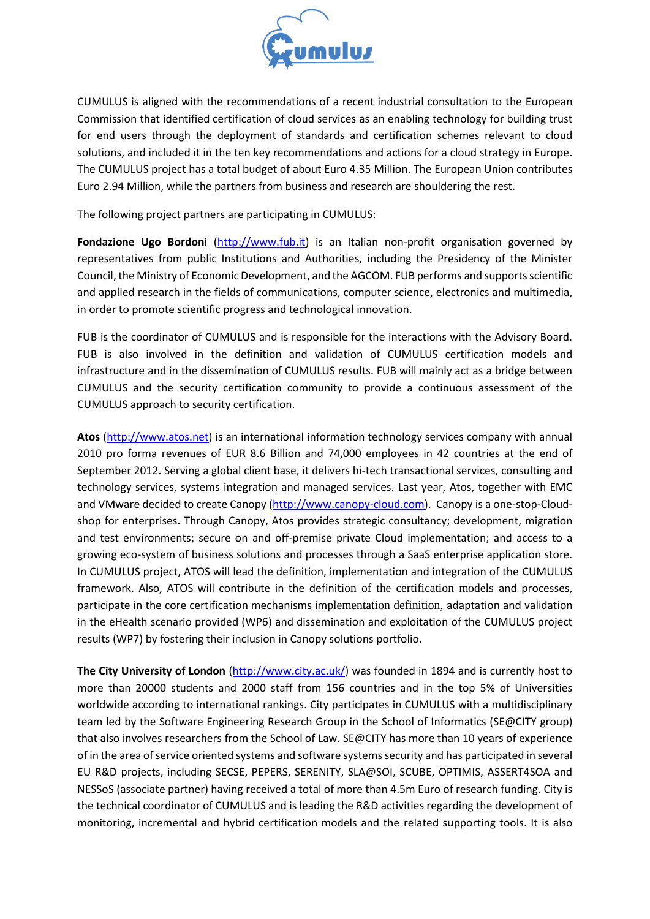

CUMULUS is aligned with the recommendations of a recent industrial consultation to the European Commission that identified certification of cloud services as an enabling technology for building trust for end users through the deployment of standards and certification schemes relevant to cloud solutions, and included it in the ten key recommendations and actions for a cloud strategy in Europe. The CUMULUS project has a total budget of about Euro 4.35 Million. The European Union contributes Euro 2.94 Million, while the partners from business and research are shouldering the rest.

The following project partners are participating in CUMULUS:

**Fondazione Ugo Bordoni** [\(http://www.fub.it\)](http://www.fub.it/) is an Italian non-profit organisation governed by representatives from public Institutions and Authorities, including the Presidency of the Minister Council, the Ministry of Economic Development, and the AGCOM. FUB performs and supports scientific and applied research in the fields of communications, computer science, electronics and multimedia, in order to promote scientific progress and technological innovation.

FUB is the coordinator of CUMULUS and is responsible for the interactions with the Advisory Board. FUB is also involved in the definition and validation of CUMULUS certification models and infrastructure and in the dissemination of CUMULUS results. FUB will mainly act as a bridge between CUMULUS and the security certification community to provide a continuous assessment of the CUMULUS approach to security certification.

**Atos** [\(http://www.atos.net\)](http://www.atos.net/) is an international information technology services company with annual 2010 pro forma revenues of EUR 8.6 Billion and 74,000 employees in 42 countries at the end of September 2012. Serving a global client base, it delivers hi-tech transactional services, consulting and technology services, systems integration and managed services. Last year, Atos, together with EMC and VMware decided to create Canopy [\(http://www.canopy-cloud.com\)](http://www.canopy-cloud.com/). Canopy is a one-stop-Cloudshop for enterprises. Through Canopy, Atos provides strategic consultancy; development, migration and test environments; secure on and off-premise private Cloud implementation; and access to a growing eco-system of business solutions and processes through a SaaS enterprise application store. In CUMULUS project, ATOS will lead the definition, implementation and integration of the CUMULUS framework. Also, ATOS will contribute in the definition of the certification models and processes, participate in the core certification mechanisms implementation definition, adaptation and validation in the eHealth scenario provided (WP6) and dissemination and exploitation of the CUMULUS project results (WP7) by fostering their inclusion in Canopy solutions portfolio.

**The City University of London** [\(http://www.city.ac.uk/\)](http://www.city.ac.uk/) was founded in 1894 and is currently host to more than 20000 students and 2000 staff from 156 countries and in the top 5% of Universities worldwide according to international rankings. City participates in CUMULUS with a multidisciplinary team led by the Software Engineering Research Group in the School of Informatics (SE@CITY group) that also involves researchers from the School of Law. SE@CITY has more than 10 years of experience of in the area of service oriented systems and software systems security and has participated in several EU R&D projects, including SECSE, PEPERS, SERENITY, SLA@SOI, SCUBE, OPTIMIS, ASSERT4SOA and NESSoS (associate partner) having received a total of more than 4.5m Euro of research funding. City is the technical coordinator of CUMULUS and is leading the R&D activities regarding the development of monitoring, incremental and hybrid certification models and the related supporting tools. It is also